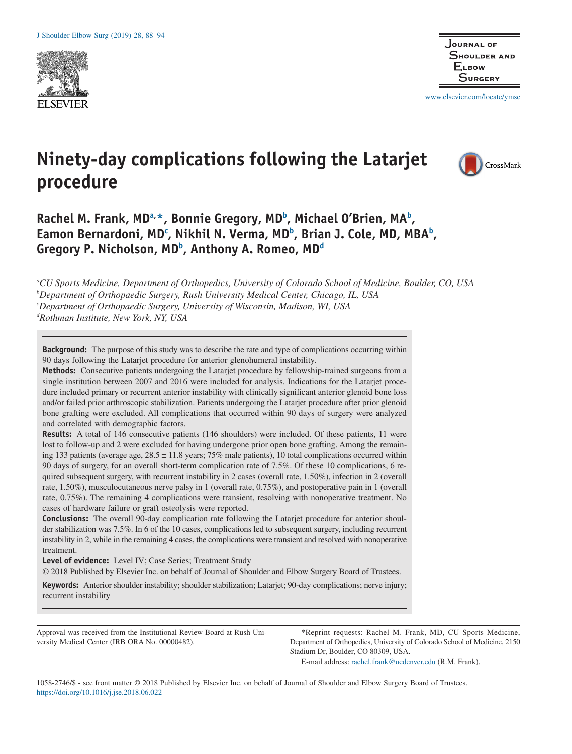



www.elsevier.com/locate/ymse

# **Ninety-day complications following the Latarjet procedure**



Rachel M. Frank, MD<sup>a,\*</sup>, Bonnie Gregory, MD<sup>b</sup>, Michael O'Brien, MA<sup>b</sup>, Eamon Bernardoni, MD<sup>c</sup>, Nikhil N. Verma, MD<sup>b</sup>, Brian J. Cole, MD, MBA<sup>b</sup>, Gregory P. Nicholson, MD<sup>b</sup>, Anthony A. Romeo, MD<sup>d</sup>

*a CU Sports Medicine, Department of Orthopedics, University of Colorado School of Medicine, Boulder, CO, USA b Department of Orthopaedic Surgery, Rush University Medical Center, Chicago, IL, USA c Department of Orthopaedic Surgery, University of Wisconsin, Madison, WI, USA d Rothman Institute, New York, NY, USA*

**Background:** The purpose of this study was to describe the rate and type of complications occurring within 90 days following the Latarjet procedure for anterior glenohumeral instability.

**Methods:** Consecutive patients undergoing the Latarjet procedure by fellowship-trained surgeons from a single institution between 2007 and 2016 were included for analysis. Indications for the Latarjet procedure included primary or recurrent anterior instability with clinically significant anterior glenoid bone loss and/or failed prior arthroscopic stabilization. Patients undergoing the Latarjet procedure after prior glenoid bone grafting were excluded. All complications that occurred within 90 days of surgery were analyzed and correlated with demographic factors.

**Results:** A total of 146 consecutive patients (146 shoulders) were included. Of these patients, 11 were lost to follow-up and 2 were excluded for having undergone prior open bone grafting. Among the remaining 133 patients (average age,  $28.5 \pm 11.8$  years; 75% male patients), 10 total complications occurred within 90 days of surgery, for an overall short-term complication rate of 7.5%. Of these 10 complications, 6 required subsequent surgery, with recurrent instability in 2 cases (overall rate, 1.50%), infection in 2 (overall rate, 1.50%), musculocutaneous nerve palsy in 1 (overall rate, 0.75%), and postoperative pain in 1 (overall rate, 0.75%). The remaining 4 complications were transient, resolving with nonoperative treatment. No cases of hardware failure or graft osteolysis were reported.

**Conclusions:** The overall 90-day complication rate following the Latarjet procedure for anterior shoulder stabilization was 7.5%. In 6 of the 10 cases, complications led to subsequent surgery, including recurrent instability in 2, while in the remaining 4 cases, the complications were transient and resolved with nonoperative treatment.

**Level of evidence:** Level IV; Case Series; Treatment Study © 2018 Published by Elsevier Inc. on behalf of Journal of Shoulder and Elbow Surgery Board of Trustees.

**Keywords:** Anterior shoulder instability; shoulder stabilization; Latarjet; 90-day complications; nerve injury; recurrent instability

Approval was received from the Institutional Review Board at Rush University Medical Center (IRB ORA No. 00000482).

\*Reprint requests: Rachel M. Frank, MD, CU Sports Medicine, Department of Orthopedics, University of Colorado School of Medicine, 2150 Stadium Dr, Boulder, CO 80309, USA.

E-mail address: rachel.frank@ucdenver.edu (R.M. Frank).

1058-2746/\$ - see front matter © 2018 Published by Elsevier Inc. on behalf of Journal of Shoulder and Elbow Surgery Board of Trustees. https://doi.org/10.1016/j.jse.2018.06.022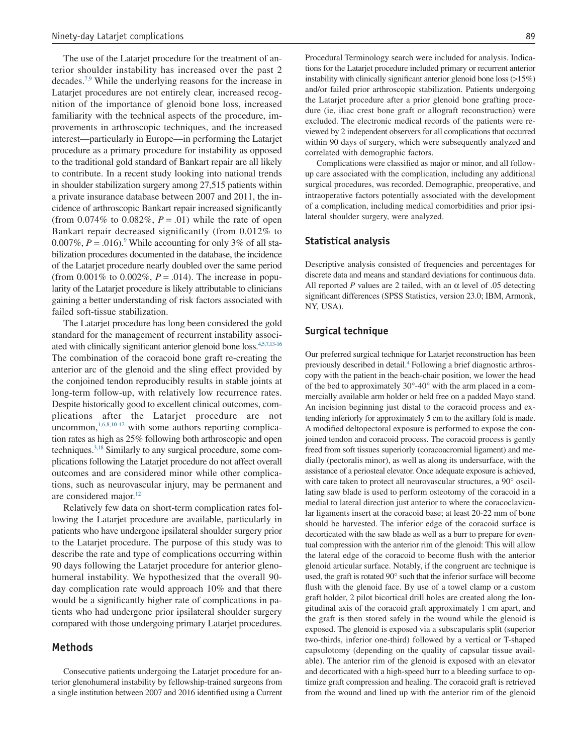The use of the Latarjet procedure for the treatment of anterior shoulder instability has increased over the past 2 decades.7,9 While the underlying reasons for the increase in Latarjet procedures are not entirely clear, increased recognition of the importance of glenoid bone loss, increased familiarity with the technical aspects of the procedure, improvements in arthroscopic techniques, and the increased interest—particularly in Europe—in performing the Latarjet procedure as a primary procedure for instability as opposed to the traditional gold standard of Bankart repair are all likely to contribute. In a recent study looking into national trends in shoulder stabilization surgery among 27,515 patients within a private insurance database between 2007 and 2011, the incidence of arthroscopic Bankart repair increased significantly (from  $0.074\%$  to  $0.082\%$ ,  $P = .01$ ) while the rate of open Bankart repair decreased significantly (from 0.012% to 0.007%,  $P = .016$ .<sup>9</sup> While accounting for only 3% of all stabilization procedures documented in the database, the incidence of the Latarjet procedure nearly doubled over the same period (from  $0.001\%$  to  $0.002\%$ ,  $P = .014$ ). The increase in popularity of the Latarjet procedure is likely attributable to clinicians gaining a better understanding of risk factors associated with failed soft-tissue stabilization.

The Latarjet procedure has long been considered the gold standard for the management of recurrent instability associated with clinically significant anterior glenoid bone loss.<sup>4,5,7,13-16</sup> The combination of the coracoid bone graft re-creating the anterior arc of the glenoid and the sling effect provided by the conjoined tendon reproducibly results in stable joints at long-term follow-up, with relatively low recurrence rates. Despite historically good to excellent clinical outcomes, complications after the Latarjet procedure are not uncommon, $1,6,8,10-12$  with some authors reporting complication rates as high as 25% following both arthroscopic and open techniques.3,18 Similarly to any surgical procedure, some complications following the Latarjet procedure do not affect overall outcomes and are considered minor while other complications, such as neurovascular injury, may be permanent and are considered major. $^{12}$ 

Relatively few data on short-term complication rates following the Latarjet procedure are available, particularly in patients who have undergone ipsilateral shoulder surgery prior to the Latarjet procedure. The purpose of this study was to describe the rate and type of complications occurring within 90 days following the Latarjet procedure for anterior glenohumeral instability. We hypothesized that the overall 90 day complication rate would approach 10% and that there would be a significantly higher rate of complications in patients who had undergone prior ipsilateral shoulder surgery compared with those undergoing primary Latarjet procedures.

# **Methods**

Consecutive patients undergoing the Latarjet procedure for anterior glenohumeral instability by fellowship-trained surgeons from a single institution between 2007 and 2016 identified using a Current Procedural Terminology search were included for analysis. Indications for the Latarjet procedure included primary or recurrent anterior instability with clinically significant anterior glenoid bone loss (>15%) and/or failed prior arthroscopic stabilization. Patients undergoing the Latarjet procedure after a prior glenoid bone grafting procedure (ie, iliac crest bone graft or allograft reconstruction) were excluded. The electronic medical records of the patients were reviewed by 2 independent observers for all complications that occurred within 90 days of surgery, which were subsequently analyzed and correlated with demographic factors.

Complications were classified as major or minor, and all followup care associated with the complication, including any additional surgical procedures, was recorded. Demographic, preoperative, and intraoperative factors potentially associated with the development of a complication, including medical comorbidities and prior ipsilateral shoulder surgery, were analyzed.

#### **Statistical analysis**

Descriptive analysis consisted of frequencies and percentages for discrete data and means and standard deviations for continuous data. All reported *P* values are 2 tailed, with an  $\alpha$  level of .05 detecting significant differences (SPSS Statistics, version 23.0; IBM, Armonk, NY, USA).

#### **Surgical technique**

Our preferred surgical technique for Latarjet reconstruction has been previously described in detail.4 Following a brief diagnostic arthroscopy with the patient in the beach-chair position, we lower the head of the bed to approximately 30°-40° with the arm placed in a commercially available arm holder or held free on a padded Mayo stand. An incision beginning just distal to the coracoid process and extending inferiorly for approximately 5 cm to the axillary fold is made. A modified deltopectoral exposure is performed to expose the conjoined tendon and coracoid process. The coracoid process is gently freed from soft tissues superiorly (coracoacromial ligament) and medially (pectoralis minor), as well as along its undersurface, with the assistance of a periosteal elevator. Once adequate exposure is achieved, with care taken to protect all neurovascular structures, a 90° oscillating saw blade is used to perform osteotomy of the coracoid in a medial to lateral direction just anterior to where the coracoclavicular ligaments insert at the coracoid base; at least 20-22 mm of bone should be harvested. The inferior edge of the coracoid surface is decorticated with the saw blade as well as a burr to prepare for eventual compression with the anterior rim of the glenoid: This will allow the lateral edge of the coracoid to become flush with the anterior glenoid articular surface. Notably, if the congruent arc technique is used, the graft is rotated 90° such that the inferior surface will become flush with the glenoid face. By use of a towel clamp or a custom graft holder, 2 pilot bicortical drill holes are created along the longitudinal axis of the coracoid graft approximately 1 cm apart, and the graft is then stored safely in the wound while the glenoid is exposed. The glenoid is exposed via a subscapularis split (superior two-thirds, inferior one-third) followed by a vertical or T-shaped capsulotomy (depending on the quality of capsular tissue available). The anterior rim of the glenoid is exposed with an elevator and decorticated with a high-speed burr to a bleeding surface to optimize graft compression and healing. The coracoid graft is retrieved from the wound and lined up with the anterior rim of the glenoid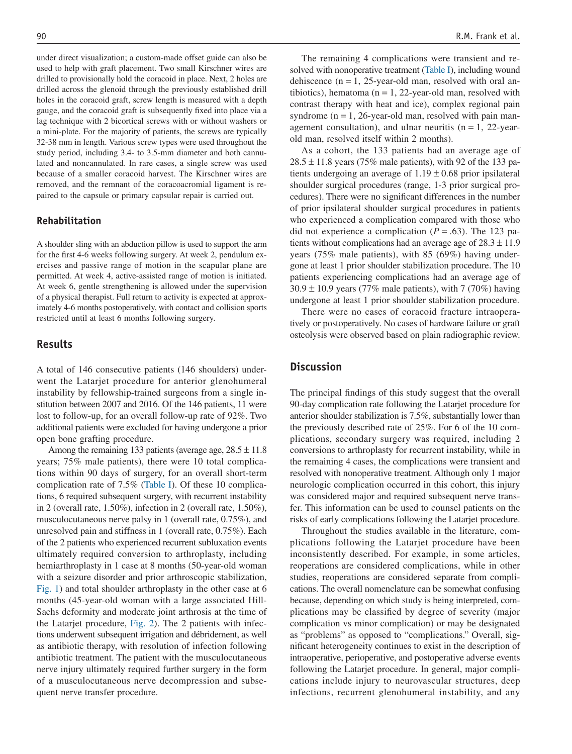under direct visualization; a custom-made offset guide can also be used to help with graft placement. Two small Kirschner wires are drilled to provisionally hold the coracoid in place. Next, 2 holes are drilled across the glenoid through the previously established drill holes in the coracoid graft, screw length is measured with a depth gauge, and the coracoid graft is subsequently fixed into place via a lag technique with 2 bicortical screws with or without washers or a mini-plate. For the majority of patients, the screws are typically 32-38 mm in length. Various screw types were used throughout the study period, including 3.4- to 3.5-mm diameter and both cannulated and noncannulated. In rare cases, a single screw was used because of a smaller coracoid harvest. The Kirschner wires are removed, and the remnant of the coracoacromial ligament is repaired to the capsule or primary capsular repair is carried out.

#### **Rehabilitation**

A shoulder sling with an abduction pillow is used to support the arm for the first 4-6 weeks following surgery. At week 2, pendulum exercises and passive range of motion in the scapular plane are permitted. At week 4, active-assisted range of motion is initiated. At week 6, gentle strengthening is allowed under the supervision of a physical therapist. Full return to activity is expected at approximately 4-6 months postoperatively, with contact and collision sports restricted until at least 6 months following surgery.

#### **Results**

A total of 146 consecutive patients (146 shoulders) underwent the Latarjet procedure for anterior glenohumeral instability by fellowship-trained surgeons from a single institution between 2007 and 2016. Of the 146 patients, 11 were lost to follow-up, for an overall follow-up rate of 92%. Two additional patients were excluded for having undergone a prior open bone grafting procedure.

Among the remaining 133 patients (average age,  $28.5 \pm 11.8$ ) years; 75% male patients), there were 10 total complications within 90 days of surgery, for an overall short-term complication rate of 7.5% (Table I). Of these 10 complications, 6 required subsequent surgery, with recurrent instability in 2 (overall rate, 1.50%), infection in 2 (overall rate, 1.50%), musculocutaneous nerve palsy in 1 (overall rate, 0.75%), and unresolved pain and stiffness in 1 (overall rate, 0.75%). Each of the 2 patients who experienced recurrent subluxation events ultimately required conversion to arthroplasty, including hemiarthroplasty in 1 case at 8 months (50-year-old woman with a seizure disorder and prior arthroscopic stabilization, Fig. 1) and total shoulder arthroplasty in the other case at 6 months (45-year-old woman with a large associated Hill-Sachs deformity and moderate joint arthrosis at the time of the Latarjet procedure, Fig. 2). The 2 patients with infections underwent subsequent irrigation and débridement, as well as antibiotic therapy, with resolution of infection following antibiotic treatment. The patient with the musculocutaneous nerve injury ultimately required further surgery in the form of a musculocutaneous nerve decompression and subsequent nerve transfer procedure.

The remaining 4 complications were transient and resolved with nonoperative treatment (Table I), including wound dehiscence  $(n = 1, 25$ -year-old man, resolved with oral antibiotics), hematoma ( $n = 1$ , 22-year-old man, resolved with contrast therapy with heat and ice), complex regional pain syndrome  $(n = 1, 26$ -year-old man, resolved with pain management consultation), and ulnar neuritis  $(n = 1, 22$ -yearold man, resolved itself within 2 months).

As a cohort, the 133 patients had an average age of  $28.5 \pm 11.8$  years (75% male patients), with 92 of the 133 patients undergoing an average of  $1.19 \pm 0.68$  prior ipsilateral shoulder surgical procedures (range, 1-3 prior surgical procedures). There were no significant differences in the number of prior ipsilateral shoulder surgical procedures in patients who experienced a complication compared with those who did not experience a complication  $(P = .63)$ . The 123 patients without complications had an average age of  $28.3 \pm 11.9$ years (75% male patients), with 85 (69%) having undergone at least 1 prior shoulder stabilization procedure. The 10 patients experiencing complications had an average age of  $30.9 \pm 10.9$  years (77% male patients), with 7 (70%) having undergone at least 1 prior shoulder stabilization procedure.

There were no cases of coracoid fracture intraoperatively or postoperatively. No cases of hardware failure or graft osteolysis were observed based on plain radiographic review.

# **Discussion**

The principal findings of this study suggest that the overall 90-day complication rate following the Latarjet procedure for anterior shoulder stabilization is 7.5%, substantially lower than the previously described rate of 25%. For 6 of the 10 complications, secondary surgery was required, including 2 conversions to arthroplasty for recurrent instability, while in the remaining 4 cases, the complications were transient and resolved with nonoperative treatment. Although only 1 major neurologic complication occurred in this cohort, this injury was considered major and required subsequent nerve transfer. This information can be used to counsel patients on the risks of early complications following the Latarjet procedure.

Throughout the studies available in the literature, complications following the Latarjet procedure have been inconsistently described. For example, in some articles, reoperations are considered complications, while in other studies, reoperations are considered separate from complications. The overall nomenclature can be somewhat confusing because, depending on which study is being interpreted, complications may be classified by degree of severity (major complication vs minor complication) or may be designated as "problems" as opposed to "complications." Overall, significant heterogeneity continues to exist in the description of intraoperative, perioperative, and postoperative adverse events following the Latarjet procedure. In general, major complications include injury to neurovascular structures, deep infections, recurrent glenohumeral instability, and any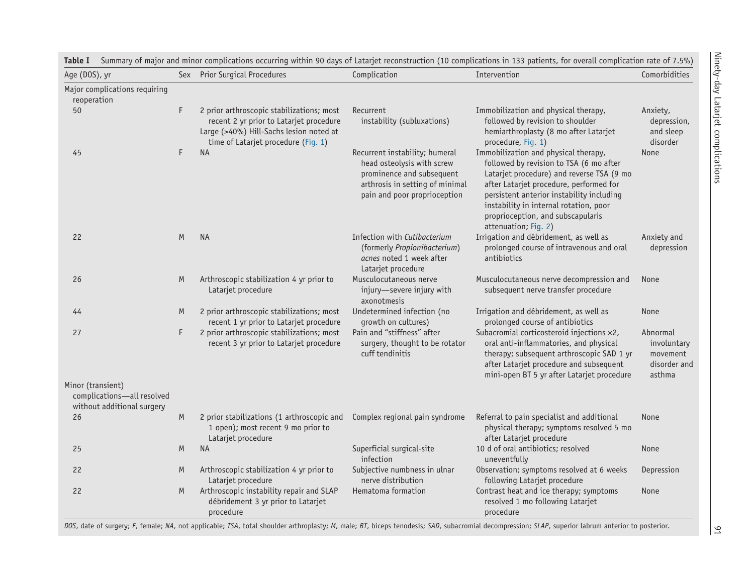| Age (DOS), yr                                                                 |    | Sex Prior Surgical Procedures                                                                                                                                          | Complication                                                                                                                                                 | Intervention                                                                                                                                                                                                                                                                                                                | Comorbidities                                                 |
|-------------------------------------------------------------------------------|----|------------------------------------------------------------------------------------------------------------------------------------------------------------------------|--------------------------------------------------------------------------------------------------------------------------------------------------------------|-----------------------------------------------------------------------------------------------------------------------------------------------------------------------------------------------------------------------------------------------------------------------------------------------------------------------------|---------------------------------------------------------------|
| Major complications requiring<br>reoperation                                  |    |                                                                                                                                                                        |                                                                                                                                                              |                                                                                                                                                                                                                                                                                                                             |                                                               |
| 50                                                                            | F  | 2 prior arthroscopic stabilizations; most<br>recent 2 yr prior to Latarjet procedure<br>Large (>40%) Hill-Sachs lesion noted at<br>time of Latarjet procedure (Fig. 1) | Recurrent<br>instability (subluxations)                                                                                                                      | Immobilization and physical therapy,<br>followed by revision to shoulder<br>hemiarthroplasty (8 mo after Latarjet<br>procedure, Fig. 1)                                                                                                                                                                                     | Anxiety,<br>depression,<br>and sleep<br>disorder              |
| 45                                                                            | F  | <b>NA</b>                                                                                                                                                              | Recurrent instability; humeral<br>head osteolysis with screw<br>prominence and subsequent<br>arthrosis in setting of minimal<br>pain and poor proprioception | Immobilization and physical therapy,<br>followed by revision to TSA (6 mo after<br>Latarjet procedure) and reverse TSA (9 mo<br>after Latarjet procedure, performed for<br>persistent anterior instability including<br>instability in internal rotation, poor<br>proprioception, and subscapularis<br>attenuation; Fig. 2) | None                                                          |
| 22                                                                            | M  | <b>NA</b>                                                                                                                                                              | Infection with Cutibacterium<br>(formerly Propionibacterium)<br>acnes noted 1 week after<br>Latarjet procedure                                               | Irrigation and débridement, as well as<br>prolonged course of intravenous and oral<br>antibiotics                                                                                                                                                                                                                           | Anxiety and<br>depression                                     |
| 26                                                                            | M  | Arthroscopic stabilization 4 yr prior to<br>Latarjet procedure                                                                                                         | Musculocutaneous nerve<br>injury-severe injury with<br>axonotmesis                                                                                           | Musculocutaneous nerve decompression and<br>subsequent nerve transfer procedure                                                                                                                                                                                                                                             | None                                                          |
| 44                                                                            | M  | 2 prior arthroscopic stabilizations; most<br>recent 1 yr prior to Latarjet procedure                                                                                   | Undetermined infection (no<br>growth on cultures)                                                                                                            | Irrigation and débridement, as well as<br>prolonged course of antibiotics                                                                                                                                                                                                                                                   | None                                                          |
| 27                                                                            | F. | 2 prior arthroscopic stabilizations; most<br>recent 3 yr prior to Latarjet procedure                                                                                   | Pain and "stiffness" after<br>surgery, thought to be rotator<br>cuff tendinitis                                                                              | Subacromial corticosteroid injections ×2,<br>oral anti-inflammatories, and physical<br>therapy; subsequent arthroscopic SAD 1 yr<br>after Latarjet procedure and subsequent<br>mini-open BT 5 yr after Latarjet procedure                                                                                                   | Abnormal<br>involuntary<br>movement<br>disorder and<br>asthma |
| Minor (transient)<br>complications-all resolved<br>without additional surgery |    |                                                                                                                                                                        |                                                                                                                                                              |                                                                                                                                                                                                                                                                                                                             |                                                               |
| 26                                                                            | M  | 2 prior stabilizations (1 arthroscopic and<br>1 open); most recent 9 mo prior to<br>Latarjet procedure                                                                 | Complex regional pain syndrome                                                                                                                               | Referral to pain specialist and additional<br>physical therapy; symptoms resolved 5 mo<br>after Latarjet procedure                                                                                                                                                                                                          | None                                                          |
| 25                                                                            | M  | <b>NA</b>                                                                                                                                                              | Superficial surgical-site<br>infection                                                                                                                       | 10 d of oral antibiotics; resolved<br>uneventfully                                                                                                                                                                                                                                                                          | None                                                          |
| 22                                                                            | M  | Arthroscopic stabilization 4 yr prior to<br>Latarjet procedure                                                                                                         | Subjective numbness in ulnar<br>nerve distribution                                                                                                           | Observation; symptoms resolved at 6 weeks<br>following Latarjet procedure                                                                                                                                                                                                                                                   | Depression                                                    |
| 22                                                                            | M  | Arthroscopic instability repair and SLAP<br>débridement 3 yr prior to Latarjet<br>procedure                                                                            | Hematoma formation                                                                                                                                           | Contrast heat and ice therapy; symptoms<br>resolved 1 mo following Latarjet<br>procedure                                                                                                                                                                                                                                    | None                                                          |

**Table I** Summary of major and minor complications occurring within 90 days of Latarjet reconstruction (10 complications in 133 patients, for overall complication rate of 7.5%)

DOS, date of surgery; F, female; NA, not applicable; TSA, total shoulder arthroplasty; M, male; BT, biceps tenodesis; SAD, subacromial decompression; SLAP, superior labrum anterior to posterior.

 $|5$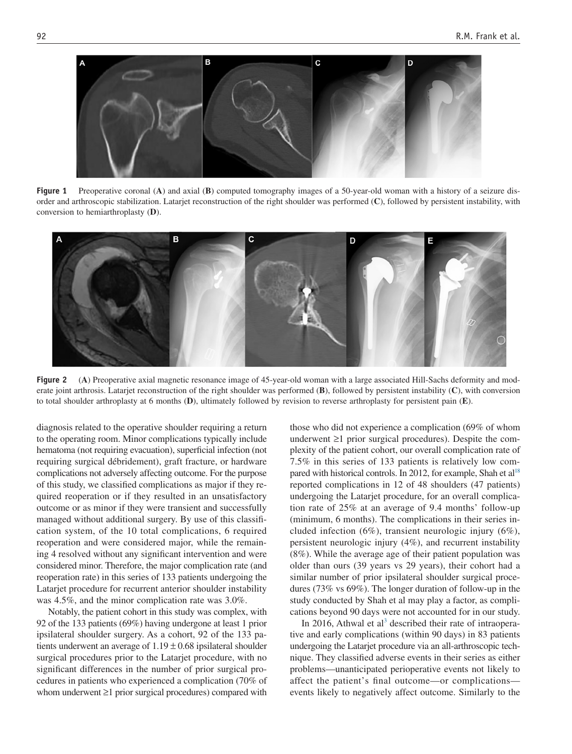

**Figure 1** Preoperative coronal (**A**) and axial (**B**) computed tomography images of a 50-year-old woman with a history of a seizure disorder and arthroscopic stabilization. Latarjet reconstruction of the right shoulder was performed (**C**), followed by persistent instability, with conversion to hemiarthroplasty (**D**).



**Figure 2** (A) Preoperative axial magnetic resonance image of 45-year-old woman with a large associated Hill-Sachs deformity and moderate joint arthrosis. Latarjet reconstruction of the right shoulder was performed (**B**), followed by persistent instability (**C**), with conversion to total shoulder arthroplasty at 6 months (**D**), ultimately followed by revision to reverse arthroplasty for persistent pain (**E**).

diagnosis related to the operative shoulder requiring a return to the operating room. Minor complications typically include hematoma (not requiring evacuation), superficial infection (not requiring surgical débridement), graft fracture, or hardware complications not adversely affecting outcome. For the purpose of this study, we classified complications as major if they required reoperation or if they resulted in an unsatisfactory outcome or as minor if they were transient and successfully managed without additional surgery. By use of this classification system, of the 10 total complications, 6 required reoperation and were considered major, while the remaining 4 resolved without any significant intervention and were considered minor. Therefore, the major complication rate (and reoperation rate) in this series of 133 patients undergoing the Latarjet procedure for recurrent anterior shoulder instability was 4.5%, and the minor complication rate was 3.0%.

Notably, the patient cohort in this study was complex, with 92 of the 133 patients (69%) having undergone at least 1 prior ipsilateral shoulder surgery. As a cohort, 92 of the 133 patients underwent an average of  $1.19 \pm 0.68$  ipsilateral shoulder surgical procedures prior to the Latarjet procedure, with no significant differences in the number of prior surgical procedures in patients who experienced a complication (70% of whom underwent ≥1 prior surgical procedures) compared with

those who did not experience a complication (69% of whom underwent ≥1 prior surgical procedures). Despite the complexity of the patient cohort, our overall complication rate of 7.5% in this series of 133 patients is relatively low compared with historical controls. In 2012, for example, Shah et  $al^{18}$ reported complications in 12 of 48 shoulders (47 patients) undergoing the Latarjet procedure, for an overall complication rate of 25% at an average of 9.4 months' follow-up (minimum, 6 months). The complications in their series included infection (6%), transient neurologic injury (6%), persistent neurologic injury (4%), and recurrent instability (8%). While the average age of their patient population was older than ours (39 years vs 29 years), their cohort had a similar number of prior ipsilateral shoulder surgical procedures (73% vs 69%). The longer duration of follow-up in the study conducted by Shah et al may play a factor, as complications beyond 90 days were not accounted for in our study.

In 2016, Athwal et al<sup>3</sup> described their rate of intraoperative and early complications (within 90 days) in 83 patients undergoing the Latarjet procedure via an all-arthroscopic technique. They classified adverse events in their series as either problems—unanticipated perioperative events not likely to affect the patient's final outcome—or complications events likely to negatively affect outcome. Similarly to the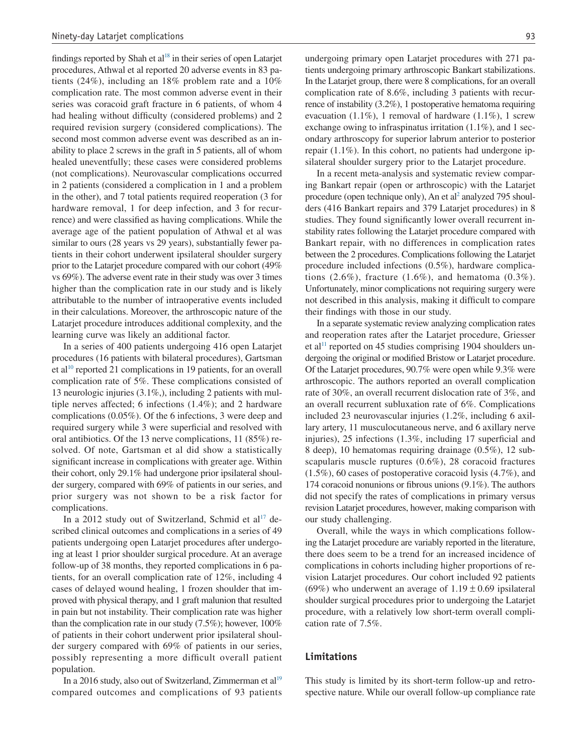findings reported by Shah et  $al^{18}$  in their series of open Latarjet procedures, Athwal et al reported 20 adverse events in 83 patients (24%), including an 18% problem rate and a 10% complication rate. The most common adverse event in their series was coracoid graft fracture in 6 patients, of whom 4 had healing without difficulty (considered problems) and 2 required revision surgery (considered complications). The second most common adverse event was described as an inability to place 2 screws in the graft in 5 patients, all of whom healed uneventfully; these cases were considered problems (not complications). Neurovascular complications occurred in 2 patients (considered a complication in 1 and a problem in the other), and 7 total patients required reoperation (3 for hardware removal, 1 for deep infection, and 3 for recurrence) and were classified as having complications. While the average age of the patient population of Athwal et al was similar to ours (28 years vs 29 years), substantially fewer patients in their cohort underwent ipsilateral shoulder surgery prior to the Latarjet procedure compared with our cohort (49% vs 69%). The adverse event rate in their study was over 3 times higher than the complication rate in our study and is likely attributable to the number of intraoperative events included in their calculations. Moreover, the arthroscopic nature of the Latarjet procedure introduces additional complexity, and the learning curve was likely an additional factor.

In a series of 400 patients undergoing 416 open Latarjet procedures (16 patients with bilateral procedures), Gartsman et al<sup>10</sup> reported 21 complications in 19 patients, for an overall complication rate of 5%. These complications consisted of 13 neurologic injuries (3.1%,), including 2 patients with multiple nerves affected; 6 infections (1.4%); and 2 hardware complications (0.05%). Of the 6 infections, 3 were deep and required surgery while 3 were superficial and resolved with oral antibiotics. Of the 13 nerve complications, 11 (85%) resolved. Of note, Gartsman et al did show a statistically significant increase in complications with greater age. Within their cohort, only 29.1% had undergone prior ipsilateral shoulder surgery, compared with 69% of patients in our series, and prior surgery was not shown to be a risk factor for complications.

In a 2012 study out of Switzerland, Schmid et  $al^{\text{T}}$  described clinical outcomes and complications in a series of 49 patients undergoing open Latarjet procedures after undergoing at least 1 prior shoulder surgical procedure. At an average follow-up of 38 months, they reported complications in 6 patients, for an overall complication rate of 12%, including 4 cases of delayed wound healing, 1 frozen shoulder that improved with physical therapy, and 1 graft malunion that resulted in pain but not instability. Their complication rate was higher than the complication rate in our study (7.5%); however, 100% of patients in their cohort underwent prior ipsilateral shoulder surgery compared with 69% of patients in our series, possibly representing a more difficult overall patient population.

In a 2016 study, also out of Switzerland, Zimmerman et al<sup>19</sup> compared outcomes and complications of 93 patients undergoing primary open Latarjet procedures with 271 patients undergoing primary arthroscopic Bankart stabilizations. In the Latarjet group, there were 8 complications, for an overall complication rate of 8.6%, including 3 patients with recurrence of instability (3.2%), 1 postoperative hematoma requiring evacuation (1.1%), 1 removal of hardware (1.1%), 1 screw exchange owing to infraspinatus irritation (1.1%), and 1 secondary arthroscopy for superior labrum anterior to posterior repair (1.1%). In this cohort, no patients had undergone ipsilateral shoulder surgery prior to the Latarjet procedure.

In a recent meta-analysis and systematic review comparing Bankart repair (open or arthroscopic) with the Latarjet procedure (open technique only), An et al<sup>2</sup> analyzed 795 shoulders (416 Bankart repairs and 379 Latarjet procedures) in 8 studies. They found significantly lower overall recurrent instability rates following the Latarjet procedure compared with Bankart repair, with no differences in complication rates between the 2 procedures. Complications following the Latarjet procedure included infections (0.5%), hardware complications  $(2.6\%)$ , fracture  $(1.6\%)$ , and hematoma  $(0.3\%)$ . Unfortunately, minor complications not requiring surgery were not described in this analysis, making it difficult to compare their findings with those in our study.

In a separate systematic review analyzing complication rates and reoperation rates after the Latarjet procedure, Griesser et al<sup>11</sup> reported on 45 studies comprising 1904 shoulders undergoing the original or modified Bristow or Latarjet procedure. Of the Latarjet procedures, 90.7% were open while 9.3% were arthroscopic. The authors reported an overall complication rate of 30%, an overall recurrent dislocation rate of 3%, and an overall recurrent subluxation rate of 6%. Complications included 23 neurovascular injuries (1.2%, including 6 axillary artery, 11 musculocutaneous nerve, and 6 axillary nerve injuries), 25 infections (1.3%, including 17 superficial and 8 deep), 10 hematomas requiring drainage (0.5%), 12 subscapularis muscle ruptures (0.6%), 28 coracoid fractures (1.5%), 60 cases of postoperative coracoid lysis (4.7%), and 174 coracoid nonunions or fibrous unions (9.1%). The authors did not specify the rates of complications in primary versus revision Latarjet procedures, however, making comparison with our study challenging.

Overall, while the ways in which complications following the Latarjet procedure are variably reported in the literature, there does seem to be a trend for an increased incidence of complications in cohorts including higher proportions of revision Latarjet procedures. Our cohort included 92 patients (69%) who underwent an average of  $1.19 \pm 0.69$  ipsilateral shoulder surgical procedures prior to undergoing the Latarjet procedure, with a relatively low short-term overall complication rate of 7.5%.

#### **Limitations**

This study is limited by its short-term follow-up and retrospective nature. While our overall follow-up compliance rate